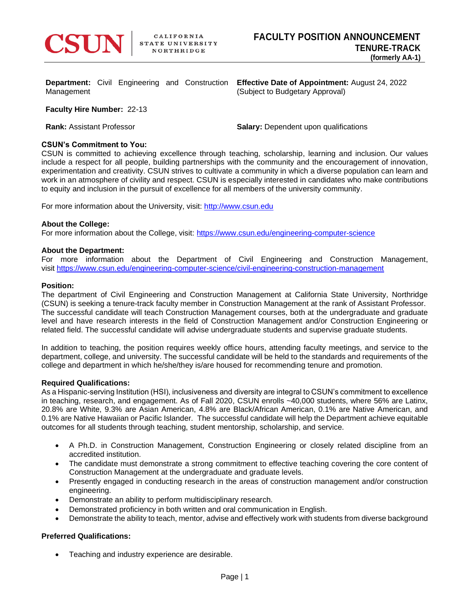

**Department:** Civil Engineering and Construction Management

**Effective Date of Appointment:** August 24, 2022 (Subject to Budgetary Approval)

**Faculty Hire Number:** 22-13

**Rank:** Assistant Professor **Salary: Dependent upon qualifications Salary: Dependent upon qualifications** 

# **CSUN's Commitment to You:**

CSUN is committed to achieving excellence through teaching, scholarship, learning and inclusion. Our values include a respect for all people, building partnerships with the community and the encouragement of innovation, experimentation and creativity. CSUN strives to cultivate a community in which a diverse population can learn and work in an atmosphere of civility and respect. CSUN is especially interested in candidates who make contributions to equity and inclusion in the pursuit of excellence for all members of the university community.

For more information about the University, visit: [http://www.csun.edu](http://www.csun.edu/)

## **About the College:**

For more information about the College, visit: <https://www.csun.edu/engineering-computer-science>

## **About the Department:**

For more information about the Department of Civil Engineering and Construction Management, visit <https://www.csun.edu/engineering-computer-science/civil-engineering-construction-management>

## **Position:**

The department of Civil Engineering and Construction Management at California State University, Northridge (CSUN) is seeking a tenure-track faculty member in Construction Management at the rank of Assistant Professor. The successful candidate will teach Construction Management courses, both at the undergraduate and graduate level and have research interests in the field of Construction Management and/or Construction Engineering or related field. The successful candidate will advise undergraduate students and supervise graduate students.

In addition to teaching, the position requires weekly office hours, attending faculty meetings, and service to the department, college, and university. The successful candidate will be held to the standards and requirements of the college and department in which he/she/they is/are housed for recommending tenure and promotion.

#### **Required Qualifications:**

As a Hispanic-serving Institution (HSI), inclusiveness and diversity are integral to CSUN's commitment to excellence in teaching, research, and engagement. As of Fall 2020, CSUN enrolls ~40,000 students, where 56% are Latinx, 20.8% are White, 9.3% are Asian American, 4.8% are Black/African American, 0.1% are Native American, and 0.1% are Native Hawaiian or Pacific Islander. The successful candidate will help the Department achieve equitable outcomes for all students through teaching, student mentorship, scholarship, and service.

- A Ph.D. in Construction Management, Construction Engineering or closely related discipline from an accredited institution.
- The candidate must demonstrate a strong commitment to effective teaching covering the core content of Construction Management at the undergraduate and graduate levels.
- Presently engaged in conducting research in the areas of construction management and/or construction engineering.
- Demonstrate an ability to perform multidisciplinary research.
- Demonstrated proficiency in both written and oral communication in English.
- Demonstrate the ability to teach, mentor, advise and effectively work with students from diverse background

# **Preferred Qualifications:**

• Teaching and industry experience are desirable.